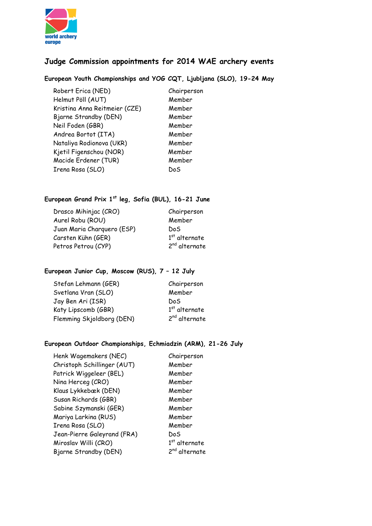

# **Judge Commission appointments for 2014 WAE archery events**

**European Youth Championships and YOG CQT, Ljubljana (SLO), 19-24 May**

Robert Erica (NED) Chairperson Helmut Pöll (AUT) Member Kristina Anna Reitmeier (CZE) Member Bjarne Strandby (DEN) Member Neil Foden (GBR) Member Andrea Bortot (ITA) Member Nataliya Rodionova (UKR) Member Kjetil Figenschou (NOR) Member Macide Erdener (TUR) Member Irena Rosa (SLO) DoS

# **European Grand Prix 1st leg, Sofia (BUL), 16-21 June**

| Drasco Mihinjac (CRO)      | Chairperson               |
|----------------------------|---------------------------|
| Aurel Robu (ROU)           | Member                    |
| Juan Maria Charguero (ESP) | DoS.                      |
| Carsten Kühn (GER)         | $1st$ alternate           |
| Petros Petrou (CYP)        | 2 <sup>nd</sup> alternate |

# **European Junior Cup, Moscow (RUS), 7 – 12 July**

| Stefan Lehmann (GER)      | Chairperson               |
|---------------------------|---------------------------|
| Svetlana Vran (SLO)       | Member                    |
| Jay Ben Ari (ISR)         | DoS                       |
| Katy Lipscomb (GBR)       | $1st$ alternate           |
| Flemming Skjoldborg (DEN) | 2 <sup>nd</sup> alternate |

# **European Outdoor Championships, Echmiadzin (ARM), 21-26 July**

Henk Wagemakers (NEC) Chairperson Christoph Schillinger (AUT) Member Patrick Wiggeleer (BEL) Member Nina Herceg (CRO) Member Klaus Lykkebæk (DEN) Member Susan Richards (GBR) Member Sabine Szymanski (GER) Member Mariya Larkina (RUS) Member Irena Rosa (SLO) Member Jean-Pierre Galeyrand (FRA) DoS Miroslav Willi (CRO) 1 Bjarne Strandby (DEN) 2<sup>nd</sup> alternate

 $1<sup>st</sup>$  alternate